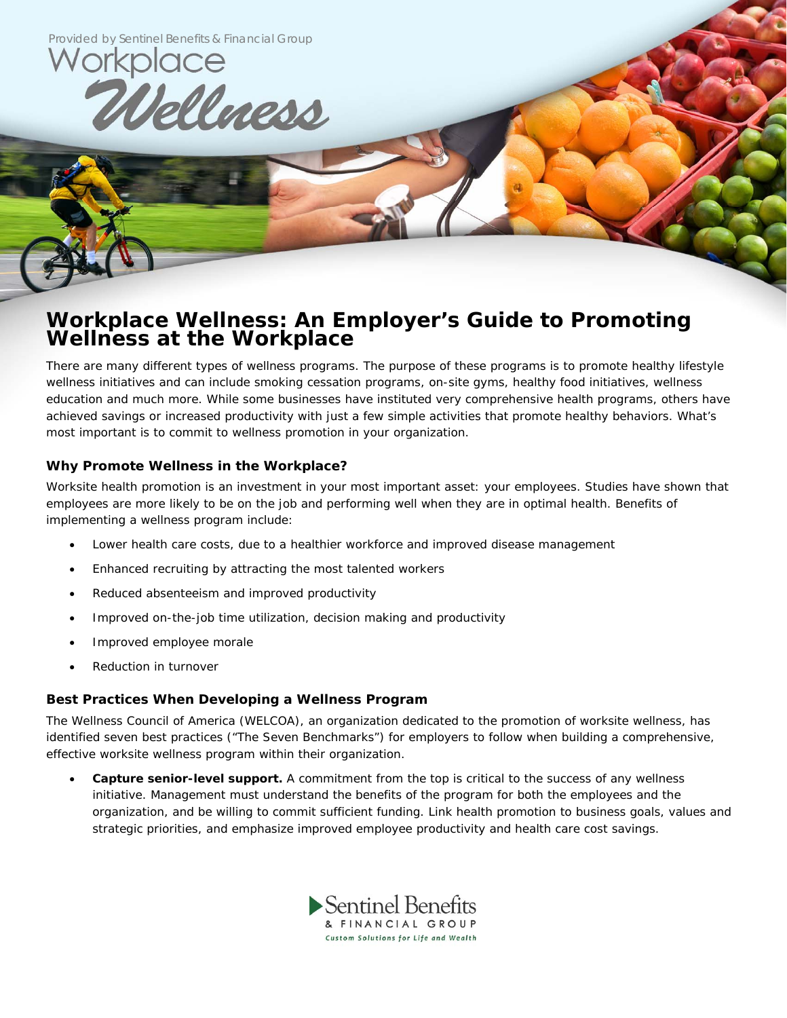

## **Workplace Wellness: An Employer's Guide to Promoting Wellness at the Workplace**

There are many different types of wellness programs. The purpose of these programs is to promote healthy lifestyle wellness initiatives and can include smoking cessation programs, on-site gyms, healthy food initiatives, wellness education and much more. While some businesses have instituted very comprehensive health programs, others have achieved savings or increased productivity with just a few simple activities that promote healthy behaviors. What's most important is to commit to wellness promotion in your organization.

## **Why Promote Wellness in the Workplace?**

Worksite health promotion is an investment in your most important asset: your employees. Studies have shown that employees are more likely to be on the job and performing well when they are in optimal health. Benefits of implementing a wellness program include:

- Lower health care costs, due to a healthier workforce and improved disease management
- Enhanced recruiting by attracting the most talented workers
- Reduced absenteeism and improved productivity
- Improved on-the-job time utilization, decision making and productivity
- Improved employee morale
- Reduction in turnover

## **Best Practices When Developing a Wellness Program**

The Wellness Council of America (WELCOA), an organization dedicated to the promotion of worksite wellness, has identified seven best practices ("The Seven Benchmarks") for employers to follow when building a comprehensive, effective worksite wellness program within their organization.

 **Capture senior-level support.** A commitment from the top is critical to the success of any wellness initiative. Management must understand the benefits of the program for both the employees and the organization, and be willing to commit sufficient funding. Link health promotion to business goals, values and strategic priorities, and emphasize improved employee productivity and health care cost savings.

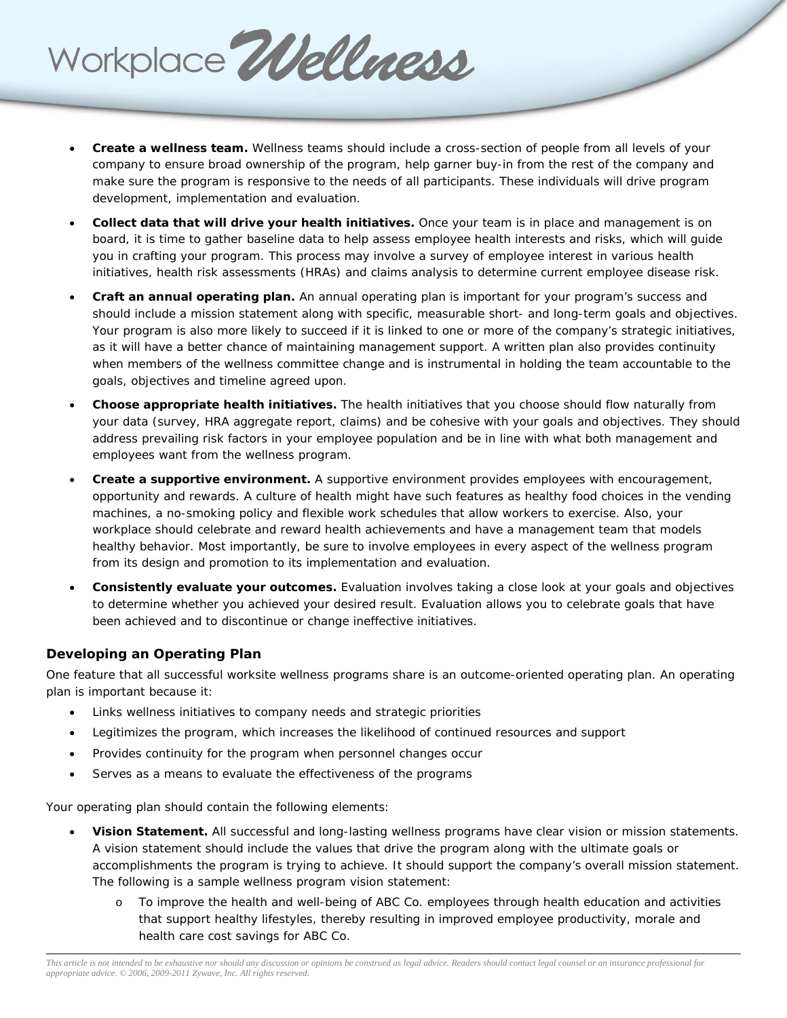**Create a wellness team.** Wellness teams should include a cross-section of people from all levels of your company to ensure broad ownership of the program, help garner buy-in from the rest of the company and make sure the program is responsive to the needs of all participants. These individuals will drive program development, implementation and evaluation.

- **Collect data that will drive your health initiatives.** Once your team is in place and management is on board, it is time to gather baseline data to help assess employee health interests and risks, which will guide you in crafting your program. This process may involve a survey of employee interest in various health initiatives, health risk assessments (HRAs) and claims analysis to determine current employee disease risk.
- **Craft an annual operating plan.** An annual operating plan is important for your program's success and should include a mission statement along with specific, measurable short- and long-term goals and objectives. Your program is also more likely to succeed if it is linked to one or more of the company's strategic initiatives, as it will have a better chance of maintaining management support. A written plan also provides continuity when members of the wellness committee change and is instrumental in holding the team accountable to the goals, objectives and timeline agreed upon.
- **Choose appropriate health initiatives.** The health initiatives that you choose should flow naturally from your data (survey, HRA aggregate report, claims) and be cohesive with your goals and objectives. They should address prevailing risk factors in your employee population and be in line with what both management and employees want from the wellness program.
- **Create a supportive environment.** A supportive environment provides employees with encouragement, opportunity and rewards. A culture of health might have such features as healthy food choices in the vending machines, a no-smoking policy and flexible work schedules that allow workers to exercise. Also, your workplace should celebrate and reward health achievements and have a management team that models healthy behavior. Most importantly, be sure to involve employees in every aspect of the wellness program from its design and promotion to its implementation and evaluation.
- **Consistently evaluate your outcomes.** Evaluation involves taking a close look at your goals and objectives to determine whether you achieved your desired result. Evaluation allows you to celebrate goals that have been achieved and to discontinue or change ineffective initiatives.

## **Developing an Operating Plan**

One feature that all successful worksite wellness programs share is an outcome-oriented operating plan. An operating plan is important because it:

Links wellness initiatives to company needs and strategic priorities

Workplace Wellness

- Legitimizes the program, which increases the likelihood of continued resources and support
- Provides continuity for the program when personnel changes occur
- Serves as a means to evaluate the effectiveness of the programs

Your operating plan should contain the following elements:

- **Vision Statement.** All successful and long-lasting wellness programs have clear vision or mission statements. A vision statement should include the values that drive the program along with the ultimate goals or accomplishments the program is trying to achieve. It should support the company's overall mission statement. The following is a sample wellness program vision statement:
	- o To improve the health and well-being of ABC Co. employees through health education and activities that support healthy lifestyles, thereby resulting in improved employee productivity, morale and health care cost savings for ABC Co.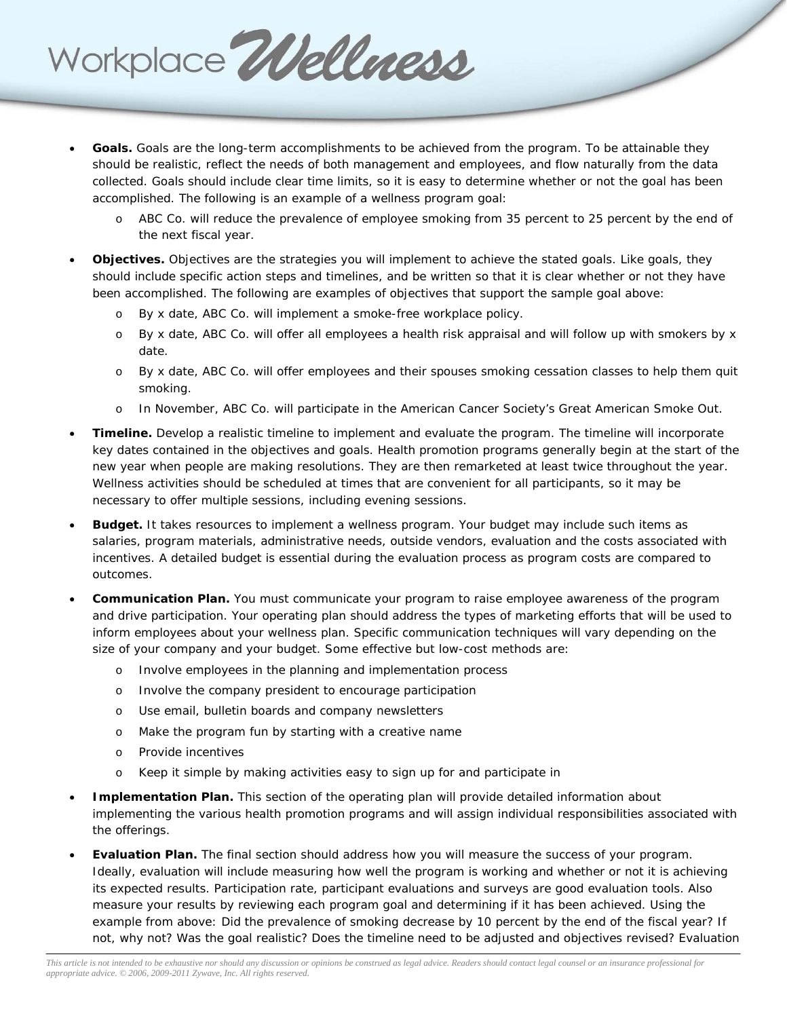

- **Goals.** Goals are the long-term accomplishments to be achieved from the program. To be attainable they should be realistic, reflect the needs of both management and employees, and flow naturally from the data collected. Goals should include clear time limits, so it is easy to determine whether or not the goal has been accomplished. The following is an example of a wellness program goal:
	- o ABC Co. will reduce the prevalence of employee smoking from 35 percent to 25 percent by the end of the next fiscal year.
- **Objectives.** Objectives are the strategies you will implement to achieve the stated goals. Like goals, they should include specific action steps and timelines, and be written so that it is clear whether or not they have been accomplished. The following are examples of objectives that support the sample goal above:
	- o By x date, ABC Co. will implement a smoke-free workplace policy.
	- o By x date, ABC Co. will offer all employees a health risk appraisal and will follow up with smokers by x date.
	- o By x date, ABC Co. will offer employees and their spouses smoking cessation classes to help them quit smoking.
	- o In November, ABC Co. will participate in the American Cancer Society's Great American Smoke Out.
- **Timeline.** Develop a realistic timeline to implement and evaluate the program. The timeline will incorporate key dates contained in the objectives and goals. Health promotion programs generally begin at the start of the new year when people are making resolutions. They are then remarketed at least twice throughout the year. Wellness activities should be scheduled at times that are convenient for all participants, so it may be necessary to offer multiple sessions, including evening sessions.
- **Budget.** It takes resources to implement a wellness program. Your budget may include such items as salaries, program materials, administrative needs, outside vendors, evaluation and the costs associated with incentives. A detailed budget is essential during the evaluation process as program costs are compared to outcomes.
- **Communication Plan.** You must communicate your program to raise employee awareness of the program and drive participation. Your operating plan should address the types of marketing efforts that will be used to inform employees about your wellness plan. Specific communication techniques will vary depending on the size of your company and your budget. Some effective but low-cost methods are:
	- o Involve employees in the planning and implementation process
	- o Involve the company president to encourage participation
	- o Use email, bulletin boards and company newsletters
	- o Make the program fun by starting with a creative name
	- o Provide incentives
	- o Keep it simple by making activities easy to sign up for and participate in
- **Implementation Plan.** This section of the operating plan will provide detailed information about implementing the various health promotion programs and will assign individual responsibilities associated with the offerings.
- **Evaluation Plan.** The final section should address how you will measure the success of your program. Ideally, evaluation will include measuring how well the program is working and whether or not it is achieving its expected results. Participation rate, participant evaluations and surveys are good evaluation tools. Also measure your results by reviewing each program goal and determining if it has been achieved. Using the example from above: Did the prevalence of smoking decrease by 10 percent by the end of the fiscal year? If not, why not? Was the goal realistic? Does the timeline need to be adjusted and objectives revised? Evaluation